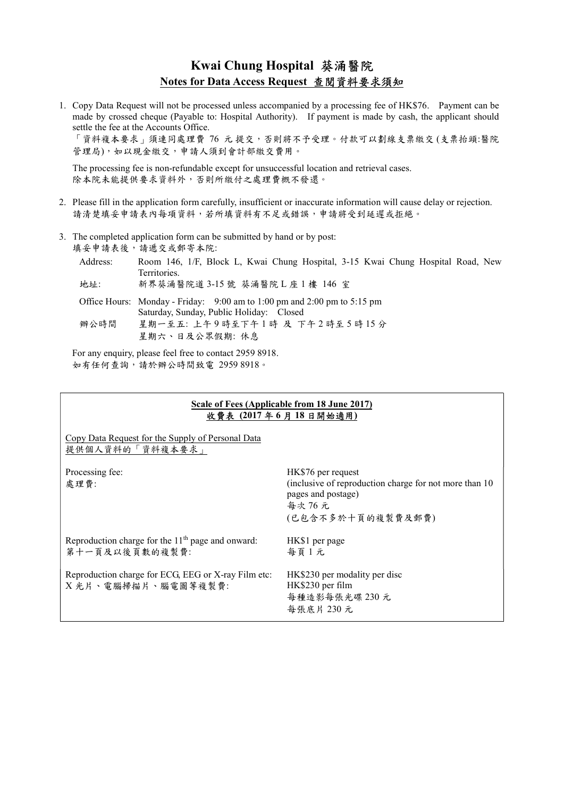## Kwai Chung Hospital 葵涌醫院 Notes for Data Access Request 查閱資料要求須知

1. Copy Data Request will not be processed unless accompanied by a processing fee of HK\$76. Payment can be made by crossed cheque (Payable to: Hospital Authority). If payment is made by cash, the applicant should settle the fee at the Accounts Office.

「資料複本要求」須連同處理費 76 元 提交,否則將不予受理。付款可以劃線支票繳交 (支票抬頭:醫院 管理局),如以現金繳交,申請人須到會計部繳交費用。

The processing fee is non-refundable except for unsuccessful location and retrieval cases. 除本院未能提供要求資料外,否則所繳付之處理費概不發還。

- 2. Please fill in the application form carefully, insufficient or inaccurate information will cause delay or rejection. 請清楚填妥申請表內每項資料,若所填資料有不足或錯誤,申請將受到延遲或拒絕。
- 3. The completed application form can be submitted by hand or by post: 填妥申請表後,請遞交或郵寄本院:

| Address: | Room 146, 1/F, Block L, Kwai Chung Hospital, 3-15 Kwai Chung Hospital Road, New<br>Territories.                              |
|----------|------------------------------------------------------------------------------------------------------------------------------|
| 地址:      | 新界葵涌醫院道 3-15 號 葵涌醫院L座1樓 146 室                                                                                                |
|          | Office Hours: Monday - Friday: $9:00$ am to $1:00$ pm and $2:00$ pm to $5:15$ pm<br>Saturday, Sunday, Public Holiday: Closed |
| 辦公時間     | 星期一至五: 上午9時至下午1時 及 下午2時至5時15分                                                                                                |

For any enquiry, please feel free to contact 2959 8918. 如有任何查詢,請於辦公時間致電 2959 8918。

## Scale of Fees (Applicable from 18 June 2017) 收費表 (2017 年 6 月 18 日開始適用)

Copy Data Request for the Supply of Personal Data 提供個人資料的「資料複本要求」

Processing fee: 處理費: HK\$76 per request (inclusive of reproduction charge for not more than 10 pages and postage) 每次 76 元 (已包含不多於十頁的複製費及郵費) Reproduction charge for the  $11<sup>th</sup>$  page and onward: 第十一頁及以後頁數的複製費: HK\$1 per page 每頁 1 元 Reproduction charge for ECG, EEG or X-ray Film etc: X 光片、電腦掃描片、腦電圖等複製費: HK\$230 per modality per disc HK\$230 per film 每種造影每張光碟 230 元 每張底片 230 元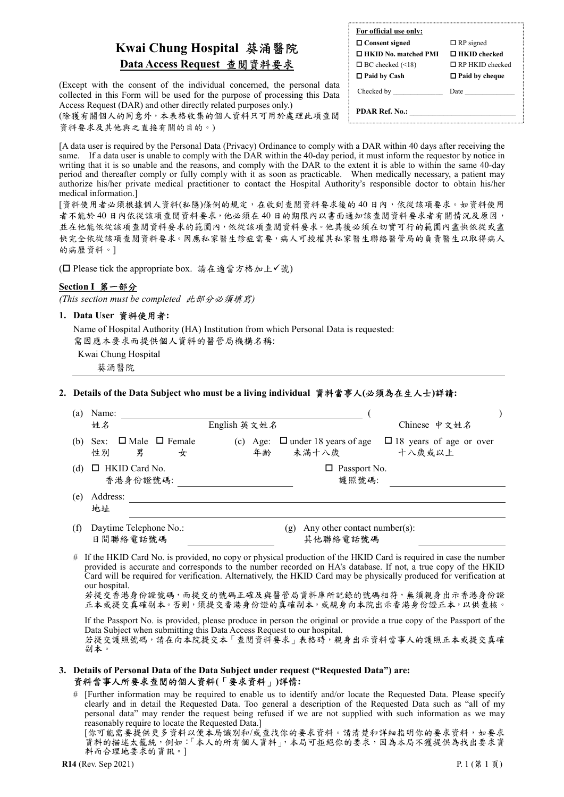# Kwai Chung Hospital 葵涌醫院 Data Access Request 查閱資料要求

(Except with the consent of the individual concerned, the personal data collected in this Form will be used for the purpose of processing this Data Access Request (DAR) and other directly related purposes only.)

(除獲有關個人的同意外,本表格收集的個人資料只可用於處理此項查閱 資料要求及其他與之直接有關的目的。)

 $\Box$  Consent signed  $\Box$  RP signed  $\Box$  HKID No. matched PMI  $\Box$  HKID checked  $\Box$  BC checked (<18)  $\Box$  RP HKID checked  $\Box$  Paid by Cash  $\Box$  Paid by cheque

For official use only:

Checked by **Date** Date

PDAR Ref. No.:

[A data user is required by the Personal Data (Privacy) Ordinance to comply with a DAR within 40 days after receiving the same. If a data user is unable to comply with the DAR within the 40-day period, it must inform the requestor by notice in writing that it is so unable and the reasons, and comply with the DAR to the extent it is able to within the same 40-day period and thereafter comply or fully comply with it as soon as practicable. When medically necessary, a patient may authorize his/her private medical practitioner to contact the Hospital Authority's responsible doctor to obtain his/her medical information.]

[資料使用者必須根據個人資料(私隱)條例的規定,在收到查閱資料要求後的 40 日內,依從該項要求。如資料使用 者不能於 40 日內依從該項查閱資料要求,他必須在 40 日的期限內以書面通知該查閱資料要求者有關情況及原因, 並在他能依從該項查閱資料要求的範圍內,依從該項查閱資料要求。他其後必須在切實可行的範圍內盡快依從或盡 快完全依從該項查閱資料要求。因應私家醫生診症需要,病人可授權其私家醫生聯絡醫管局的負責醫生以取得病人 的病歷資料。]

(□ Please tick the appropriate box. 請在適當方格加上√號)

#### Section I 第一部分

(This section must be completed 此部分必須填寫)

#### 1. Data User 資料使用者:

Name of Hospital Authority (HA) Institution from which Personal Data is requested: 需因應本要求而提供個人資料的醫管局機構名稱:

Kwai Chung Hospital 葵涌醫院

#### 2. Details of the Data Subject who must be a living individual 資料當事人(必須為在生人士)詳請:

| (a) | Name:<br>姓名                                                                           | English 英文姓名                                               | Chinese 中文姓名                             |  |
|-----|---------------------------------------------------------------------------------------|------------------------------------------------------------|------------------------------------------|--|
| (b) | $\Box$ Male $\Box$ Female<br>Sex:<br>性別<br>男<br>女                                     | $\Box$ under 18 years of age<br>(c)<br>Age:<br>未滿十八歲<br>年齢 | $\Box$ 18 years of age or over<br>十八歲或以上 |  |
| (d) | HKID Card No.<br>香港身份證號碼:                                                             | Passport No.<br>護照號碼:                                      |                                          |  |
| (e) | Address:<br>地址                                                                        |                                                            |                                          |  |
| (f) | Daytime Telephone No.:<br>Any other contact number(s):<br>(g)<br>日間聯絡電話號碼<br>其他聯絡電話號碼 |                                                            |                                          |  |

# If the HKID Card No. is provided, no copy or physical production of the HKID Card is required in case the number provided is accurate and corresponds to the number recorded on HA's database. If not, a true copy of the HKID Card will be required for verification. Alternatively, the HKID Card may be physically produced for verification at our hospital.

若提交香港身份證號碼,而提交的號碼正確及與醫管局資料庫所記錄的號碼相符,無須親身出示香港身份證 正本或提交真確副本。否則,須提交香港身份證的真確副本,或親身向本院出示香港身份證正本,以供查核。

 If the Passport No. is provided, please produce in person the original or provide a true copy of the Passport of the Data Subject when submitting this Data Access Request to our hospital. 若提交護照號碼,請在向本院提交本「查閱資料要求」表格時,親身出示資料當事人的護照正本或提交真確 副本。

#### 3. Details of Personal Data of the Data Subject under request ("Requested Data") are: 資料當事人所要求查閱的個人資料(「要求資料」)詳情:

# [Further information may be required to enable us to identify and/or locate the Requested Data. Please specify clearly and in detail the Requested Data. Too general a description of the Requested Data such as "all of my personal data" may render the request being refused if we are not supplied with such information as we may reasonably require to locate the Requested Data.]

[你可能需要提供更多資料以便本局識別和/或查找你的要求資料。請清楚和詳細指明你的要求資料,如要求 資料的描述太籠統,例如:「本人的所有個人資料」,本局可拒絕你的要求,因為本局不獲提供為找出要求資 料而合理地要求的資訊。]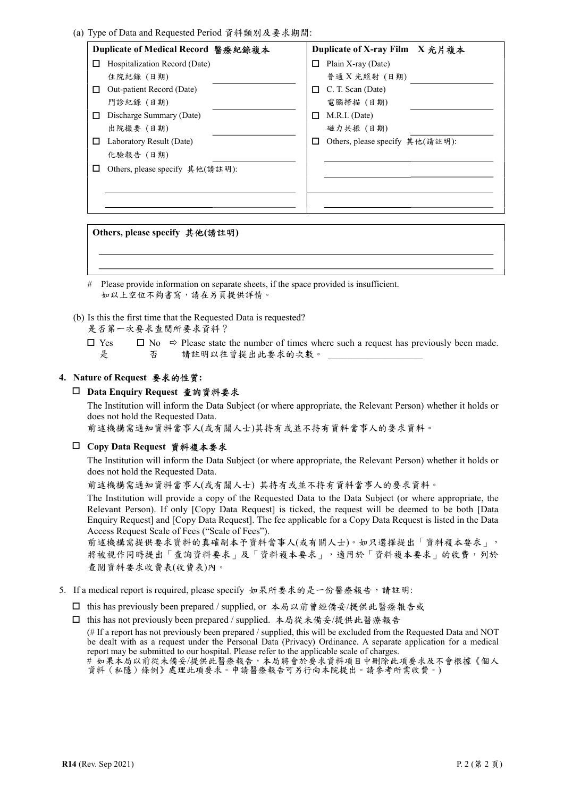| Duplicate of Medical Record 醫療紀錄複本 |                                 |  | Duplicate of X-ray Film X 光片複本 |                                 |  |
|------------------------------------|---------------------------------|--|--------------------------------|---------------------------------|--|
|                                    | Hospitalization Record (Date)   |  | LΙ                             | Plain X-ray (Date)              |  |
|                                    | 住院紀錄 (日期)                       |  |                                | 普通 X 光照射 (日期)                   |  |
|                                    | Out-patient Record (Date)       |  | П                              | C. T. Scan (Date)               |  |
|                                    | 門診紀錄 (日期)                       |  |                                | 電腦掃描 (日期)                       |  |
|                                    | Discharge Summary (Date)        |  | $\mathsf{L}$                   | M.R.I. (Date)                   |  |
|                                    | 出院撮要 (日期)                       |  |                                | 磁力共振 (日期)                       |  |
|                                    | Laboratory Result (Date)        |  | ப                              | Others, please specify 其他(請註明): |  |
|                                    | 化驗報告 (日期)                       |  |                                |                                 |  |
|                                    | Others, please specify 其他(請註明): |  |                                |                                 |  |
|                                    |                                 |  |                                |                                 |  |
|                                    |                                 |  |                                |                                 |  |
|                                    |                                 |  |                                |                                 |  |

Others, please specify 其他(請註明)

# Please provide information on separate sheets, if the space provided is insufficient. 如以上空位不夠書寫,請在另頁提供詳情。

(b) Is this the first time that the Requested Data is requested?

是否第一次要求查閱所要求資料?

□ Yes 是  $\Box$  No  $\Rightarrow$  Please state the number of times where such a request has previously been made. 否 請註明以往曾提出此要求的次數。

## 4. Nature of Request 要求的性質:

#### □ Data Enquiry Request 查詢資料要求

The Institution will inform the Data Subject (or where appropriate, the Relevant Person) whether it holds or does not hold the Requested Data.

前述機構需通知資料當事人(或有關人士)其持有或並不持有資料當事人的要求資料。

## Copy Data Request 資料複本要求

The Institution will inform the Data Subject (or where appropriate, the Relevant Person) whether it holds or does not hold the Requested Data.

前述機構需通知資料當事人(或有關人士) 其持有或並不持有資料當事人的要求資料。

The Institution will provide a copy of the Requested Data to the Data Subject (or where appropriate, the Relevant Person). If only [Copy Data Request] is ticked, the request will be deemed to be both [Data Enquiry Request] and [Copy Data Request]. The fee applicable for a Copy Data Request is listed in the Data Access Request Scale of Fees ("Scale of Fees").

前述機構需提供要求資料的真確副本予資料當事人(或有關人士)。如只選擇提出「資料複本要求」, 將被視作同時提出「查詢資料要求」及「資料複本要求」,適用於「資料複本要求」的收費,列於 查閱資料要求收費表(收費表)內。

- 5. If a medical report is required, please specify 如果所要求的是一份醫療報告,請註明:
	- □ this has previously been prepared / supplied, or 本局以前曾經備妥/提供此醫療報告或
	- □ this has not previously been prepared / supplied. 本局從未備妥/提供此醫療報告

(# If a report has not previously been prepared / supplied, this will be excluded from the Requested Data and NOT be dealt with as a request under the Personal Data (Privacy) Ordinance. A separate application for a medical report may be submitted to our hospital. Please refer to the applicable scale of charges.

# 如果本局以前從未備妥/提供此醫療報告,本局將會於要求資料項目中刪除此項要求及不會根據《個人 資料(私隱)條例》處理此項要求。申請醫療報告可另行向本院提出。請參考所需收費。)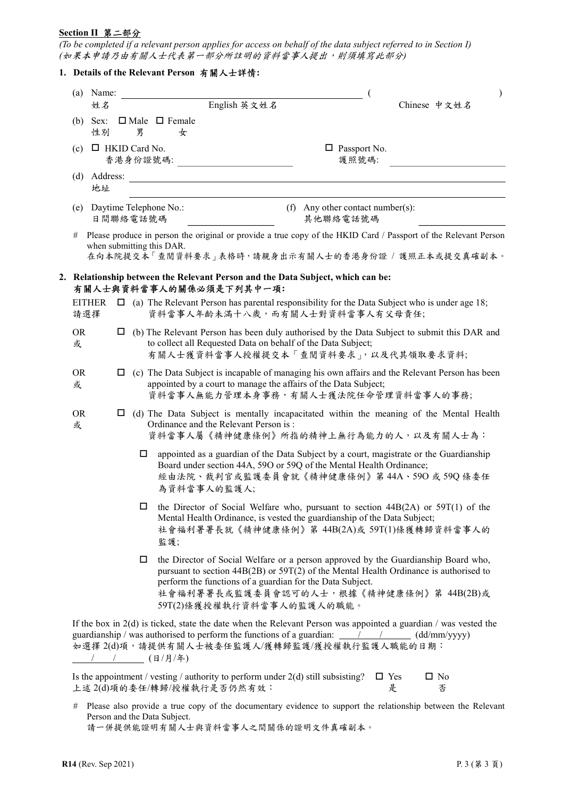#### Section II 第二部分

(To be completed if a relevant person applies for access on behalf of the data subject referred to in Section I) (如果本申請乃由有關人士代表第一部分所註明的資料當事人提出,則須填寫此部分)

### 1. Details of the Relevant Person 有關人士詳情:

| $(a)$ Name:          |                                  |                                           | $\lambda$                                                                                                                                                                                                                                                                                                            |
|----------------------|----------------------------------|-------------------------------------------|----------------------------------------------------------------------------------------------------------------------------------------------------------------------------------------------------------------------------------------------------------------------------------------------------------------------|
| 姓名<br>$(b)$ Sex:     |                                  | English 英文姓名<br>$\Box$ Male $\Box$ Female | Chinese 中文姓名                                                                                                                                                                                                                                                                                                         |
| 性別                   | 男                                | 女                                         |                                                                                                                                                                                                                                                                                                                      |
| (c)                  | $\Box$ HKID Card No.<br>香港身份證號碼: |                                           | $\Box$ Passport No.<br>護照號碼:                                                                                                                                                                                                                                                                                         |
| (d)<br>地址            |                                  | Address:                                  |                                                                                                                                                                                                                                                                                                                      |
|                      | 日間聯絡電話號碼                         | (e) Daytime Telephone No.:                | (f) Any other contact number(s):<br>其他聯絡電話號碼                                                                                                                                                                                                                                                                         |
| #                    |                                  | when submitting this DAR.                 | Please produce in person the original or provide a true copy of the HKID Card / Passport of the Relevant Person<br>在向本院提交本「查閲資料要求」表格時,請親身出示有關人士的香港身份證 / 護照正本或提交真確副本。                                                                                                                                                 |
|                      |                                  | 有關人士與資料當事人的關係必須是下列其中一項:                   | 2. Relationship between the Relevant Person and the Data Subject, which can be:                                                                                                                                                                                                                                      |
| <b>EITHER</b><br>請選擇 |                                  |                                           | $\Box$ (a) The Relevant Person has parental responsibility for the Data Subject who is under age 18;<br>資料當事人年齡未滿十八歲,而有關人士對資料當事人有父母責任;                                                                                                                                                                               |
| <b>OR</b><br>或       |                                  |                                           | $\Box$ (b) The Relevant Person has been duly authorised by the Data Subject to submit this DAR and<br>to collect all Requested Data on behalf of the Data Subject;<br>有關人士獲資料當事人授權提交本「查閱資料要求」,以及代其領取要求資料;                                                                                                            |
| <b>OR</b><br>或       | $\Box$                           |                                           | (c) The Data Subject is incapable of managing his own affairs and the Relevant Person has been<br>appointed by a court to manage the affairs of the Data Subject;<br>資料當事人無能力管理本身事務,有關人士獲法院任命管理資料當事人的事務;                                                                                                             |
| <b>OR</b><br>或       |                                  | Ordinance and the Relevant Person is:     | (d) The Data Subject is mentally incapacitated within the meaning of the Mental Health<br>資料當事人屬《精神健康條例》所指的精神上無行為能力的人,以及有關人士為:                                                                                                                                                                                       |
|                      |                                  | □<br>為資料當事人的監護人;                          | appointed as a guardian of the Data Subject by a court, magistrate or the Guardianship<br>Board under section 44A, 59O or 59Q of the Mental Health Ordinance;<br>經由法院、裁判官或監護委員會就《精神健康條例》第44A、59O 或59Q 條委任                                                                                                            |
|                      |                                  | $\Box$<br>監護;                             | the Director of Social Welfare who, pursuant to section 44B(2A) or 59T(1) of the<br>Mental Health Ordinance, is vested the guardianship of the Data Subject;<br>社會福利署署長就《精神健康條例》第 44B(2A)或 59T(1)條獲轉歸資料當事人的                                                                                                          |
|                      |                                  | □                                         | the Director of Social Welfare or a person approved by the Guardianship Board who,<br>pursuant to section $44B(2B)$ or $59T(2)$ of the Mental Health Ordinance is authorised to<br>perform the functions of a guardian for the Data Subject.<br>社會福利署署長或監護委員會認可的人士,根據《精神健康條例》第 44B(2B)或<br>59T(2)條獲授權執行資料當事人的監護人的職能。 |
|                      |                                  |                                           | If the box in $2(d)$ is ticked, state the date when the Relevant Person was appointed a guardian / was vested the<br>guardianship / was authorised to perform the functions of a guardian: $\frac{\pi}{2}$ / $\frac{\pi}{2}$ (dd/mm/yyyy)<br>如選擇 2(d)項,請提供有關人士被委任監護人/獲轉歸監護/獲授權執行監護人職能的日期:                            |

Is the appointment / vesting / authority to perform under  $2(d)$  still subsisting?  $\Box$  Yes 上述 2(d)項的委任/轉歸/授權執行是否仍然有效: 是  $\Box$  No 否

# Please also provide a true copy of the documentary evidence to support the relationship between the Relevant Person and the Data Subject.

請一併提供能證明有關人士與資料當事人之間關係的證明文件真確副本。